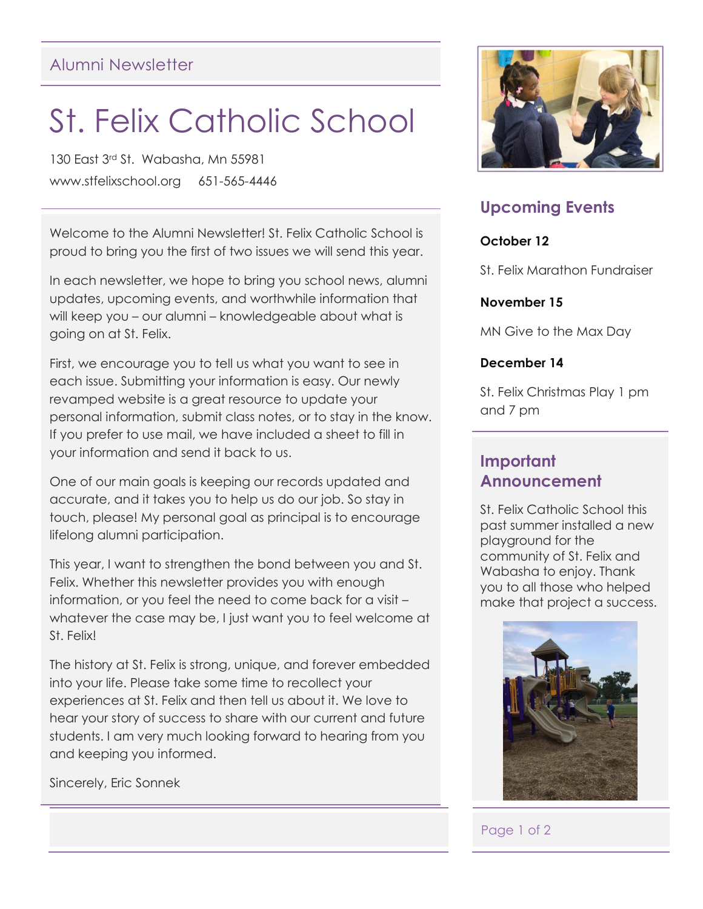## Alumni Newsletter

# St. Felix Catholic School

130 East 3rd St. Wabasha, Mn 55981 www.stfelixschool.org 651-565-4446

Welcome to the Alumni Newsletter! St. Felix Catholic School is proud to bring you the first of two issues we will send this year.

In each newsletter, we hope to bring you school news, alumni updates, upcoming events, and worthwhile information that will keep you – our alumni – knowledgeable about what is going on at St. Felix.

First, we encourage you to tell us what you want to see in each issue. Submitting your information is easy. Our newly revamped website is a great resource to update your personal information, submit class notes, or to stay in the know. If you prefer to use mail, we have included a sheet to fill in your information and send it back to us.

One of our main goals is keeping our records updated and accurate, and it takes you to help us do our job. So stay in touch, please! My personal goal as principal is to encourage lifelong alumni participation.

This year, I want to strengthen the bond between you and St. Felix. Whether this newsletter provides you with enough information, or you feel the need to come back for a visit – whatever the case may be, I just want you to feel welcome at St. Felix!

The history at St. Felix is strong, unique, and forever embedded into your life. Please take some time to recollect your experiences at St. Felix and then tell us about it. We love to hear your story of success to share with our current and future students. I am very much looking forward to hearing from you and keeping you informed.

Sincerely, Eric Sonnek



## **Upcoming Events**

#### **October 12**

St. Felix Marathon Fundraiser

#### **November 15**

MN Give to the Max Day

#### **December 14**

St. Felix Christmas Play 1 pm and 7 pm

### **Important Announcement**

St. Felix Catholic School this past summer installed a new playground for the community of St. Felix and Wabasha to enjoy. Thank you to all those who helped make that project a success.



#### Page 1 of 2